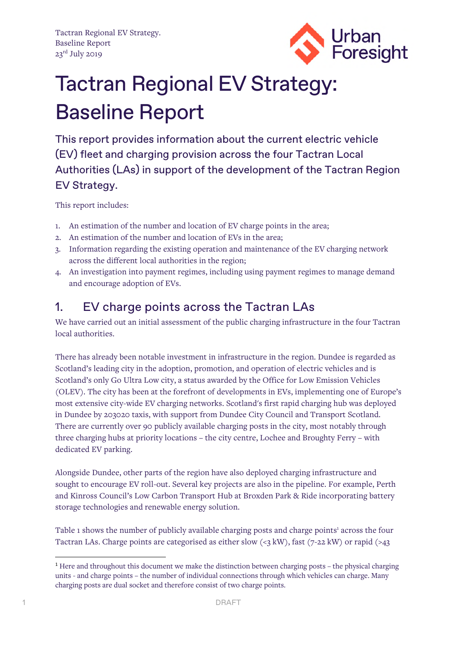

# Tactran Regional EV Strategy: Baseline Report

This report provides information about the current electric vehicle (EV) fleet and charging provision across the four Tactran Local Authorities (LAs) in support of the development of the Tactran Region EV Strategy.

This report includes:

- 1. An estimation of the number and location of EV charge points in the area;
- 2. An estimation of the number and location of EVs in the area;
- 3. Information regarding the existing operation and maintenance of the EV charging network across the different local authorities in the region;
- 4. An investigation into payment regimes, including using payment regimes to manage demand and encourage adoption of EVs.

### 1. EV charge points across the Tactran LAs

We have carried out an initial assessment of the public charging infrastructure in the four Tactran local authorities.

There has already been notable investment in infrastructure in the region. Dundee is regarded as Scotland's leading city in the adoption, promotion, and operation of electric vehicles and is Scotland's only Go Ultra Low city, a status awarded by the Office for Low Emission Vehicles (OLEV). The city has been at the forefront of developments in EVs, implementing one of Europe's most extensive city-wide EV charging networks. Scotland's first rapid charging hub was deployed in Dundee by 203020 taxis, with support from Dundee City Council and Transport Scotland. There are currently over 90 publicly available charging posts in the city, most notably through three charging hubs at priority locations – the city centre, Lochee and Broughty Ferry – with dedicated EV parking.

Alongside Dundee, other parts of the region have also deployed charging infrastructure and sought to encourage EV roll-out. Several key projects are also in the pipeline. For example, Perth and Kinross Council's Low Carbon Transport Hub at Broxden Park & Ride incorporating battery storage technologies and renewable energy solution.

Table1 shows the number of publicly available charging posts and charge points<sup>1</sup> across the four Tactran LAs. Charge points are categorised as either slow  $\langle \langle 3 \text{ kW} \rangle$ , fast  $(7-22 \text{ kW})$  or rapid  $\langle \rangle$ 

<span id="page-0-0"></span><sup>1</sup> Here and throughout this document we make the distinction between charging posts – the physical charging units - and charge points – the number of individual connections through which vehicles can charge. Many charging posts are dual socket and therefore consist of two charge points.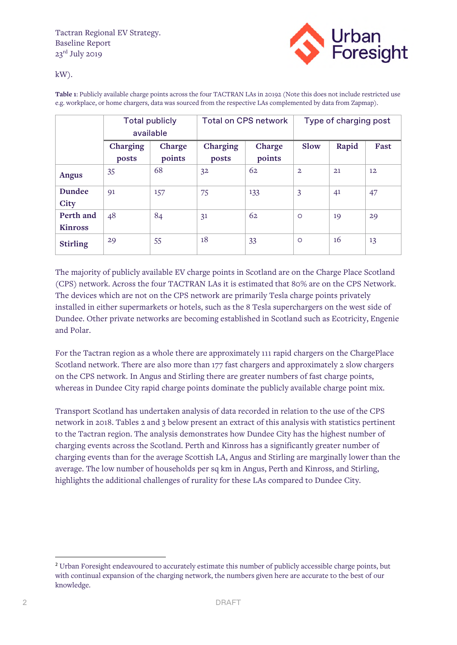

kW).

**Table 1**[: Publicly available charge points across the four TACTRAN LAs in 20192 \(Note this does not include restricted use](#page-1-0)  e.g. workplace, or home chargers, data was sourced from the respective LAs complemented by data from Zapmap).

|                             | <b>Total publicly</b><br>available |                  |                   | <b>Total on CPS network</b> | Type of charging post |       |                   |
|-----------------------------|------------------------------------|------------------|-------------------|-----------------------------|-----------------------|-------|-------------------|
|                             | Charging<br>posts                  | Charge<br>points | Charging<br>posts | Charge<br>points            | <b>Slow</b>           | Rapid | Fast              |
| <b>Angus</b>                | 35                                 | 68               | 3 <sup>2</sup>    | 62                          | $\overline{2}$        | 21    | $12 \overline{ }$ |
| Dundee<br><b>City</b>       | 91                                 | 157              | 75                | 133                         | 3                     | 41    | 47                |
| Perth and<br><b>Kinross</b> | 48                                 | 84               | 3 <sup>1</sup>    | 62                          | $\circ$               | 19    | 29                |
| <b>Stirling</b>             | 29                                 | 55               | 18                | 33                          | $\circ$               | 16    | 13                |

The majority of publicly available EV charge points in Scotland are on the Charge Place Scotland (CPS) network. Across the four TACTRAN LAs it is estimated that 80% are on the CPS Network. The devices which are not on the CPS network are primarily Tesla charge points privately installed in either supermarkets or hotels, such as the 8 Tesla superchargers on the west side of Dundee. Other private networks are becoming established in Scotland such as Ecotricity, Engenie and Polar.

For the Tactran region as a whole there are approximately 111 rapid chargers on the ChargePlace Scotland network. There are also more than 177 fast chargers and approximately 2 slow chargers on the CPS network. In Angus and Stirling there are greater numbers of fast charge points, whereas in Dundee City rapid charge points dominate the publicly available charge point mix.

Transport Scotland has undertaken analysis of data recorded in relation to the use of the CPS network in 2018. Tables 2 and 3 below present an extract of this analysis with statistics pertinent to the Tactran region. The analysis demonstrates how Dundee City has the highest number of charging events across the Scotland. Perth and Kinross has a significantly greater number of charging events than for the average Scottish LA, Angus and Stirling are marginally lower than the average. The low number of households per sq km in Angus, Perth and Kinross, and Stirling, highlights the additional challenges of rurality for these LAs compared to Dundee City.

<span id="page-1-0"></span><sup>&</sup>lt;sup>2</sup> Urban Foresight endeavoured to accurately estimate this number of publicly accessible charge points, but with continual expansion of the charging network, the numbers given here are accurate to the best of our knowledge.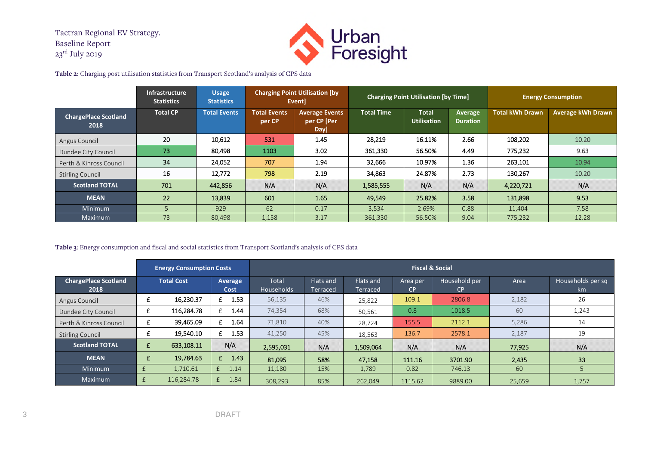

**Table 2**: Charging post utilisation statistics from Transport Scotland's analysis of CPS data

|                                     | Infrastructure<br><b>Statistics</b> | <b>Usage</b><br><b>Statistics</b> |                               | <b>Charging Point Utilisation [by</b><br>Eventl | <b>Charging Point Utilisation [by Time]</b> |                                    |                            | <b>Energy Consumption</b> |                          |
|-------------------------------------|-------------------------------------|-----------------------------------|-------------------------------|-------------------------------------------------|---------------------------------------------|------------------------------------|----------------------------|---------------------------|--------------------------|
| <b>ChargePlace Scotland</b><br>2018 | <b>Total CP</b>                     | <b>Total Events</b>               | <b>Total Events</b><br>per CP | <b>Average Events</b><br>per CP [Per<br>Day]    | <b>Total Time</b>                           | <b>Total</b><br><b>Utilisation</b> | Average<br><b>Duration</b> | <b>Total kWh Drawn</b>    | <b>Average kWh Drawn</b> |
| Angus Council                       | 20                                  | 10,612                            | 531                           | 1.45                                            | 28,219                                      | 16.11%                             | 2.66                       | 108,202                   | 10.20                    |
| Dundee City Council                 | 73                                  | 80.498                            | 1103                          | 3.02                                            | 361,330                                     | 56.50%                             | 4.49                       | 775,232                   | 9.63                     |
| Perth & Kinross Council             | 34                                  | 24,052                            | 707                           | 1.94                                            | 32,666                                      | 10.97%                             | 1.36                       | 263,101                   | 10.94                    |
| <b>Stirling Council</b>             | 16                                  | 12,772                            | 798                           | 2.19                                            | 34,863                                      | 24.87%                             | 2.73                       | 130,267                   | 10.20                    |
| <b>Scotland TOTAL</b>               | 701                                 | 442,856                           | <b>N/A</b>                    | <b>N/A</b>                                      | 1,585,555                                   | <b>N/A</b>                         | <b>N/A</b>                 | 4,220,721                 | <b>N/A</b>               |
| <b>MEAN</b>                         | 22                                  | 13,839                            | 601                           | 1.65                                            | 49,549                                      | 25.82%                             | 3.58                       | 131,898                   | 9.53                     |
| Minimum                             |                                     | 929                               | 62                            | 0.17                                            | 3,534                                       | 2.69%                              | 0.88                       | 11,404                    | 7.58                     |
| Maximum                             | 73                                  | 80.498                            | 1,158                         | 3.17                                            | 361,330                                     | 56.50%                             | 9.04                       | 775,232                   | 12.28                    |

#### **Table 3**: Energy consumption and fiscal and social statistics from Transport Scotland's analysis of CPS data

|                                     | <b>Energy Consumption Costs</b> |                   |                        | <b>Fiscal &amp; Social</b>        |                              |                       |                       |                     |        |                         |
|-------------------------------------|---------------------------------|-------------------|------------------------|-----------------------------------|------------------------------|-----------------------|-----------------------|---------------------|--------|-------------------------|
| <b>ChargePlace Scotland</b><br>2018 |                                 | <b>Total Cost</b> | <b>Average</b><br>Cost | <b>Total</b><br><b>Households</b> | Flats and<br><b>Terraced</b> | Flats and<br>Terraced | Area per<br><b>CP</b> | Household per<br>CP | Area   | Households per sq<br>km |
| Angus Council                       | £                               | 16,230.37         | 1.53<br>£              | 56,135                            | 46%                          | 25,822                | 109.1                 | 2806.8              | 2,182  | 26                      |
| Dundee City Council                 | £                               | 116,284.78        | 1.44<br>£              | 74,354                            | 68%                          | 50,561                | 0.8                   | 1018.5              | 60     | 1,243                   |
| Perth & Kinross Council             | £                               | 39,465.09         | 1.64<br>£              | 71,810                            | 40%                          | 28,724                | 155.5                 | 2112.1              | 5,286  | 14                      |
| <b>Stirling Council</b>             | t                               | 19,540.10         | 1.53<br>£              | 41,250                            | 45%                          | 18,563                | 136.7                 | 2578.1              | 2,187  | 19                      |
| <b>Scotland TOTAL</b>               | £                               | 633,108.11        | N/A                    | 2,595,031                         | N/A                          | 1,509,064             | N/A                   | N/A                 | 77,925 | N/A                     |
| <b>MEAN</b>                         | £                               | 19.784.63         | £<br>1.43              | 81,095                            | 58%                          | 47,158                | 111.16                | 3701.90             | 2,435  | 33                      |
| <b>Minimum</b>                      |                                 | 1.710.61          | 1.14                   | 11,180                            | 15%                          | 1,789                 | 0.82                  | 746.13              | 60     |                         |
| Maximum                             | £                               | 116,284.78        | 1.84<br>f              | 308.293                           | 85%                          | 262.049               | 1115.62               | 9889.00             | 25,659 | 1,757                   |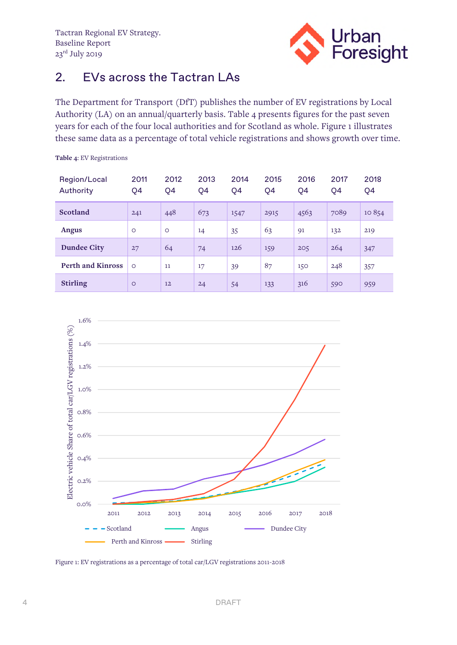

#### 2. EVs across the Tactran LAs

The Department for Transport (DfT) publishes the number of EV registrations by Local Authority (LA) on an annual/quarterly basis. Table 4 presents figures for the past seven years for each of the four local authorities and for Scotland as whole. Figure 1 illustrates these same data as a percentage of total vehicle registrations and shows growth over time.

| Region/Local<br>Authority | 2011<br>Q4 | 2012<br>Q4 | 2013<br>Q4 | 2014<br>Q4 | 2015<br>Q4 | 2016<br>Q4 | 2017<br>Q4 | 2018<br>Q4 |
|---------------------------|------------|------------|------------|------------|------------|------------|------------|------------|
| Scotland                  | 241        | 448        | 673        | 1547       | 2915       | 4563       | 7089       | 10854      |
| Angus                     | $\circ$    | $\circ$    | 14         | 35         | 63         | 91         | 132        | 219        |
| <b>Dundee City</b>        | 27         | 64         | 74         | 126        | 159        | 205        | 264        | 347        |
| <b>Perth and Kinross</b>  | $\circ$    | 11         | 17         | 39         | 87         | 150        | 248        | 357        |
| <b>Stirling</b>           | $\circ$    | 12         | 24         | 54         | 133        | 316        | 590        | 959        |

**Table 4**: EV Registrations



Figure 1: EV registrations as a percentage of total car/LGV registrations 2011-2018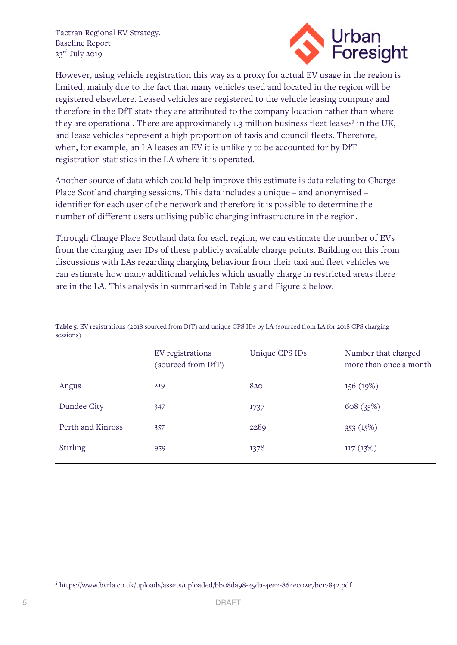

However, using vehicle registration this way as a proxy for actual EV usage in the region is limited, mainly due to the fact that many vehicles used and located in the region will be registered elsewhere. Leased vehicles are registered to the vehicle leasing company and therefore in the DfT stats they are attributed to the company location rather than where they are operational. There are approximately 1.[3](#page-4-0) million business fleet leases<sup>3</sup> in the UK, and lease vehicles represent a high proportion of taxis and council fleets. Therefore, when, for example, an LA leases an EV it is unlikely to be accounted for by DfT registration statistics in the LA where it is operated.

Another source of data which could help improve this estimate is data relating to Charge Place Scotland charging sessions. This data includes a unique – and anonymised – identifier for each user of the network and therefore it is possible to determine the number of different users utilising public charging infrastructure in the region.

Through Charge Place Scotland data for each region, we can estimate the number of EVs from the charging user IDs of these publicly available charge points. Building on this from discussions with LAs regarding charging behaviour from their taxi and fleet vehicles we can estimate how many additional vehicles which usually charge in restricted areas there are in the LA. This analysis in summarised in Table 5 and Figure 2 below.

|                   | EV registrations<br>(sourced from DfT) | Unique CPS IDs | Number that charged<br>more than once a month |
|-------------------|----------------------------------------|----------------|-----------------------------------------------|
| Angus             | 219                                    | 820            | 156 (19%)                                     |
| Dundee City       | 347                                    | 1737           | 608(35%)                                      |
| Perth and Kinross | 357                                    | 2289           | 353 $(15%)$                                   |
| <b>Stirling</b>   | 959                                    | 1378           | 117(13%)                                      |

**Table 5**: EV registrations (2018 sourced from DfT) and unique CPS IDs by LA (sourced from LA for 2018 CPS charging sessions)

<span id="page-4-0"></span><sup>3</sup> https://www.bvrla.co.uk/uploads/assets/uploaded/bb08da98-45da-4ee2-864ec02e7bc17842.pdf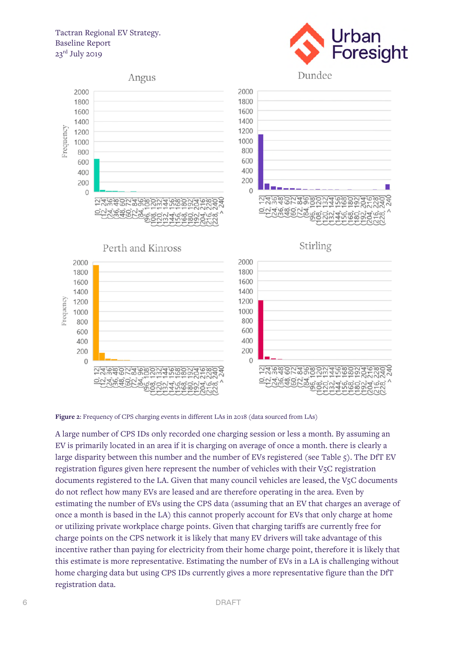#### Tactran Regional EV Strategy. Baseline Report  $23^{\text{rd}}$  July 2019





**Figure 2**: Frequency of CPS charging events in different LAs in 2018 (data sourced from LAs)

A large number of CPS IDs only recorded one charging session or less a month. By assuming an EV is primarily located in an area if it is charging on average of once a month. there is clearly a large disparity between this number and the number of EVs registered (see Table 5). The DfT EV registration figures given here represent the number of vehicles with their V5C registration documents registered to the LA. Given that many council vehicles are leased, the V5C documents do not reflect how many EVs are leased and are therefore operating in the area. Even by estimating the number of EVs using the CPS data (assuming that an EV that charges an average of once a month is based in the LA) this cannot properly account for EVs that only charge at home or utilizing private workplace charge points. Given that charging tariffs are currently free for charge points on the CPS network it is likely that many EV drivers will take advantage of this incentive rather than paying for electricity from their home charge point, therefore it is likely that this estimate is more representative. Estimating the number of EVs in a LA is challenging without home charging data but using CPS IDs currently gives a more representative figure than the DfT registration data.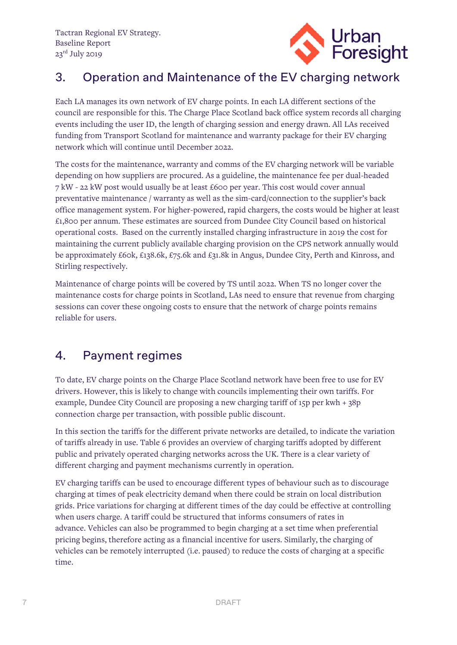

## 3. Operation and Maintenance of the EV charging network

Each LA manages its own network of EV charge points. In each LA different sections of the council are responsible for this. The Charge Place Scotland back office system records all charging events including the user ID, the length of charging session and energy drawn. All LAs received funding from Transport Scotland for maintenance and warranty package for their EV charging network which will continue until December 2022.

The costs for the maintenance, warranty and comms of the EV charging network will be variable depending on how suppliers are procured. As a guideline, the maintenance fee per dual-headed 7 kW - 22 kW post would usually be at least £600 per year. This cost would cover annual preventative maintenance / warranty as well as the sim-card/connection to the supplier's back office management system. For higher-powered, rapid chargers, the costs would be higher at least £1,800 per annum. These estimates are sourced from Dundee City Council based on historical operational costs. Based on the currently installed charging infrastructure in 2019 the cost for maintaining the current publicly available charging provision on the CPS network annually would be approximately £60k, £138.6k, £75.6k and £31.8k in Angus, Dundee City, Perth and Kinross, and Stirling respectively.

Maintenance of charge points will be covered by TS until 2022. When TS no longer cover the maintenance costs for charge points in Scotland, LAs need to ensure that revenue from charging sessions can cover these ongoing costs to ensure that the network of charge points remains reliable for users.

#### 4. Payment regimes

To date, EV charge points on the Charge Place Scotland network have been free to use for EV drivers. However, this is likely to change with councils implementing their own tariffs. For example, Dundee City Council are proposing a new charging tariff of 15p per kwh + 38p connection charge per transaction, with possible public discount.

In this section the tariffs for the different private networks are detailed, to indicate the variation of tariffs already in use. Table 6 provides an overview of charging tariffs adopted by different public and privately operated charging networks across the UK. There is a clear variety of different charging and payment mechanisms currently in operation.

EV charging tariffs can be used to encourage different types of behaviour such as to discourage charging at times of peak electricity demand when there could be strain on local distribution grids. Price variations for charging at different times of the day could be effective at controlling when users charge. A tariff could be structured that informs consumers of rates in advance. Vehicles can also be programmed to begin charging at a set time when preferential pricing begins, therefore acting as a financial incentive for users. Similarly, the charging of vehicles can be remotely interrupted (i.e. paused) to reduce the costs of charging at a specific time.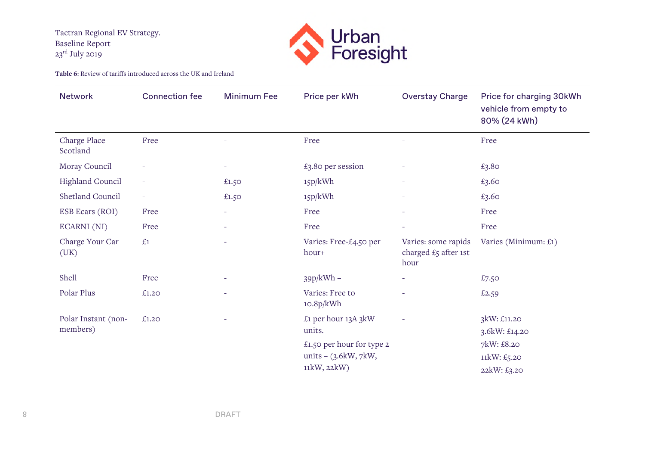

**Table 6**: Review of tariffs introduced across the UK and Ireland

| <b>Network</b>           | <b>Connection fee</b>    | <b>Minimum Fee</b>       | Price per kWh                   | <b>Overstay Charge</b>                              | Price for charging 30kWh<br>vehicle from empty to<br>80% (24 kWh) |
|--------------------------|--------------------------|--------------------------|---------------------------------|-----------------------------------------------------|-------------------------------------------------------------------|
| Charge Place<br>Scotland | Free                     |                          | Free                            |                                                     | Free                                                              |
| Moray Council            |                          | $\overline{\phantom{a}}$ | £3.80 per session               |                                                     | £3.80                                                             |
| Highland Council         | $\overline{\phantom{a}}$ | £1.50                    | 15p/kWh                         | $\overline{\phantom{a}}$                            | £3.60                                                             |
| Shetland Council         | $\overline{\phantom{a}}$ | £1.50                    | 15p/kWh                         | $\overline{\phantom{a}}$                            | £3.60                                                             |
| ESB Ecars (ROI)          | Free                     | ÷,                       | Free                            |                                                     | Free                                                              |
| ECARNI (NI)              | Free                     | ÷                        | Free                            | $\overline{\phantom{a}}$                            | Free                                                              |
| Charge Your Car<br>(UK)  | £1                       | $\overline{\phantom{a}}$ | Varies: Free-£4.50 per<br>hour+ | Varies: some rapids<br>charged £5 after 1st<br>hour | Varies (Minimum: £1)                                              |
| Shell                    | Free                     |                          | $39p/kWh -$                     |                                                     | £7.50                                                             |
| Polar Plus               | £1.20                    |                          | Varies: Free to<br>10.8p/kWh    |                                                     | £2.59                                                             |
| Polar Instant (non-      | £1.20                    |                          | £1 per hour 13A 3kW             |                                                     | 3kW: £11.20                                                       |
| members)                 |                          |                          | units.                          |                                                     | 3.6kW: £14.20                                                     |
|                          |                          |                          | £1.50 per hour for type 2       |                                                     | 7kW: £8.20                                                        |
|                          |                          |                          | units $-$ (3.6kW, 7kW,          |                                                     | 11kW: £5.20                                                       |
|                          |                          |                          | 11kW, 22kW)                     |                                                     | 22kW: £3.20                                                       |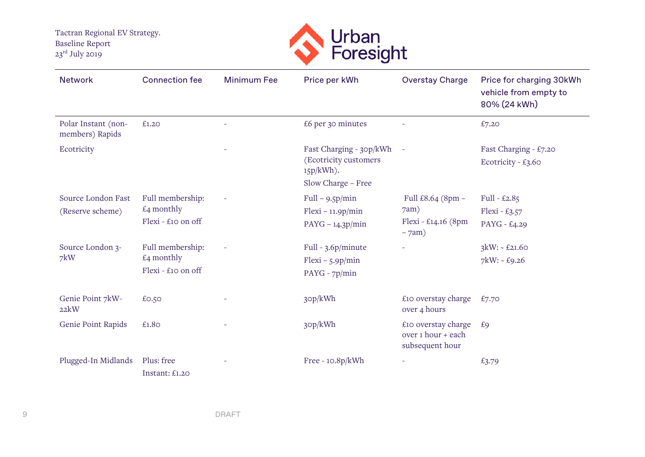

| <b>Network</b>                         | <b>Connection fee</b>                                         | <b>Minimum Fee</b> | Price per kWh                                                                          | <b>Overstay Charge</b>                                          | Price for charging 30kWh<br>vehicle from empty to<br>80% (24 kWh) |
|----------------------------------------|---------------------------------------------------------------|--------------------|----------------------------------------------------------------------------------------|-----------------------------------------------------------------|-------------------------------------------------------------------|
| Polar Instant (non-<br>members) Rapids | £1.20                                                         |                    | £6 per 30 minutes                                                                      |                                                                 | £7.20                                                             |
| Ecotricity                             |                                                               |                    | Fast Charging - 30p/kWh<br>(Ecotricity customers<br>$15p/kWh$ ).<br>Slow Charge - Free |                                                                 | Fast Charging - £7.20<br>Ecotricity - £3.60                       |
| Source London Fast<br>(Reserve scheme) | Full membership:<br>$\pounds$ 4 monthly<br>Flexi - £10 on off |                    | $Full - 9.5p/min$<br>$Flexi - 11.9p/min$<br>$PAYG - 14.3p/min$                         | Full $£8.64$ (8pm $-$<br>7am)<br>Flexi - £14.16 (8pm<br>$-7am)$ | Full - $£2.85$<br>Flexi - £3.57<br>PAYG - £4.29                   |
| Source London 3-<br>7kW                | Full membership:<br>$£4$ monthly<br>Flexi - £10 on off        |                    | Full - $3.6p/minute$<br>$Flexi - 5.9p/min$<br>$PAYG - 7p/min$                          |                                                                 | $3kW: - £21.60$<br>$7$ kW: ~ £9.26                                |
| Genie Point 7kW-<br>22kW               | £0.50                                                         |                    | 30p/kWh                                                                                | £10 overstay charge<br>over 4 hours                             | £7.70                                                             |
| Genie Point Rapids                     | £1.80                                                         |                    | 30p/kWh                                                                                | £10 overstay charge<br>over 1 hour + each<br>subsequent hour    | £9                                                                |
| Plugged-In Midlands                    | Plus: free<br>Instant: £1.20                                  |                    | Free - $10.8p/kWh$                                                                     |                                                                 | £3.79                                                             |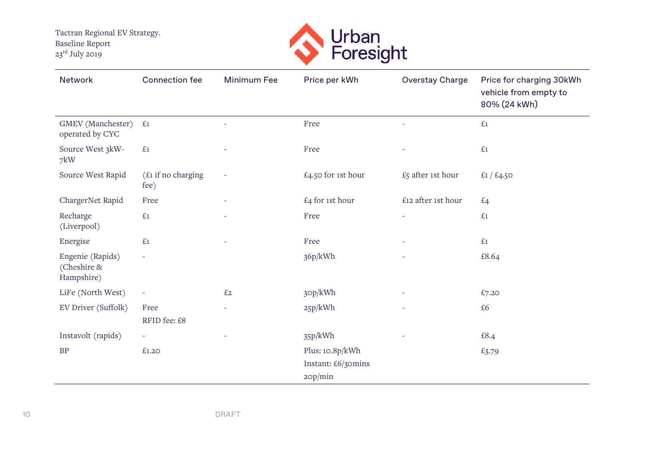

| <b>Network</b>                                | <b>Connection fee</b>      | <b>Minimum Fee</b>       | Price per kWh      | <b>Overstay Charge</b> | Price for charging 30kWh<br>vehicle from empty to<br>80% (24 kWh) |
|-----------------------------------------------|----------------------------|--------------------------|--------------------|------------------------|-------------------------------------------------------------------|
| GMEV (Manchester)<br>operated by CYC          | £1                         |                          | Free               |                        | £1                                                                |
| Source West 3kW-<br>7kW                       | £1                         |                          | Free               |                        | £1                                                                |
| Source West Rapid                             | (£1 if no charging<br>fee) | $\overline{\phantom{a}}$ | £4.50 for 1st hour | £5 after 1st hour      | £1 / £4.50                                                        |
| ChargerNet Rapid                              | Free                       |                          | £4 for 1st hour    | £12 after 1st hour     | £4                                                                |
| Recharge<br>(Liverpool)                       | £1                         |                          | Free               | ÷                      | £1                                                                |
| Energise                                      | £1                         |                          | Free               |                        | £1                                                                |
| Engenie (Rapids)<br>(Cheshire &<br>Hampshire) | $\overline{\phantom{a}}$   |                          | 36p/kWh            |                        | £8.64                                                             |
| LiFe (North West)                             | $\overline{\phantom{a}}$   | £2                       | 30p/kWh            |                        | £7.20                                                             |
| EV Driver (Suffolk)                           | Free                       | $\overline{\phantom{a}}$ | 25p/kWh            | ÷                      | £6                                                                |
|                                               | RFID fee: £8               |                          |                    |                        |                                                                   |
| Instavolt (rapids)                            | ÷                          |                          | 35p/kWh            |                        | £8.4                                                              |
| <b>BP</b>                                     | £1.20                      |                          | Plus: 10.8p/kWh    |                        | £3.79                                                             |
|                                               |                            |                          | Instant: £6/30mins |                        |                                                                   |
|                                               |                            |                          | 20p/min            |                        |                                                                   |